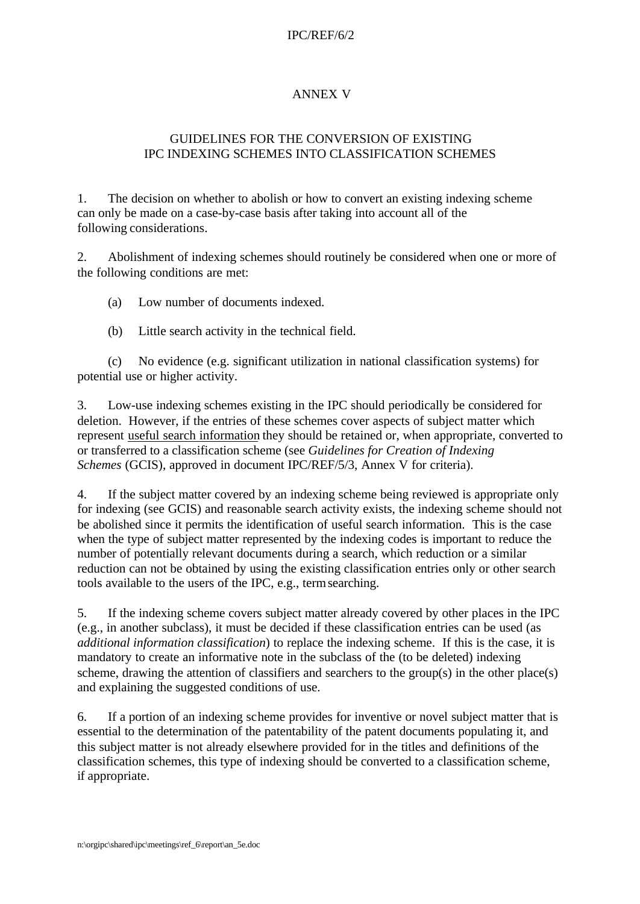## IPC/REF/6/2

## ANNEX V

## GUIDELINES FOR THE CONVERSION OF EXISTING IPC INDEXING SCHEMES INTO CLASSIFICATION SCHEMES

1. The decision on whether to abolish or how to convert an existing indexing scheme can only be made on a case-by-case basis after taking into account all of the following considerations.

2. Abolishment of indexing schemes should routinely be considered when one or more of the following conditions are met:

(a) Low number of documents indexed.

(b) Little search activity in the technical field.

(c) No evidence (e.g. significant utilization in national classification systems) for potential use or higher activity.

3. Low-use indexing schemes existing in the IPC should periodically be considered for deletion. However, if the entries of these schemes cover aspects of subject matter which represent useful search information they should be retained or, when appropriate, converted to or transferred to a classification scheme (see *Guidelines for Creation of Indexing Schemes* (GCIS), approved in document IPC/REF/5/3, Annex V for criteria).

4. If the subject matter covered by an indexing scheme being reviewed is appropriate only for indexing (see GCIS) and reasonable search activity exists, the indexing scheme should not be abolished since it permits the identification of useful search information. This is the case when the type of subject matter represented by the indexing codes is important to reduce the number of potentially relevant documents during a search, which reduction or a similar reduction can not be obtained by using the existing classification entries only or other search tools available to the users of the IPC, e.g., term searching.

5. If the indexing scheme covers subject matter already covered by other places in the IPC (e.g., in another subclass), it must be decided if these classification entries can be used (as *additional information classification*) to replace the indexing scheme. If this is the case, it is mandatory to create an informative note in the subclass of the (to be deleted) indexing scheme, drawing the attention of classifiers and searchers to the group(s) in the other place(s) and explaining the suggested conditions of use.

6. If a portion of an indexing scheme provides for inventive or novel subject matter that is essential to the determination of the patentability of the patent documents populating it, and this subject matter is not already elsewhere provided for in the titles and definitions of the classification schemes, this type of indexing should be converted to a classification scheme, if appropriate.